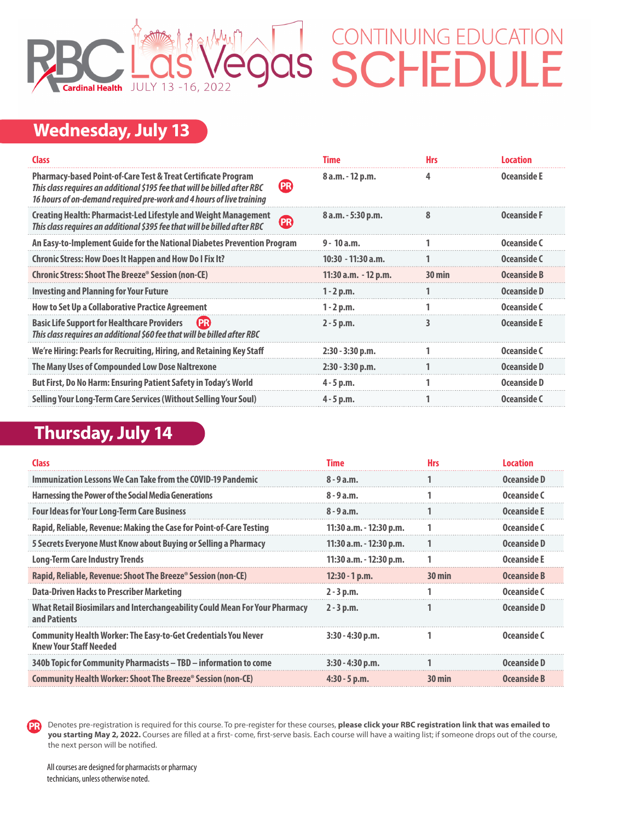

# **Wednesday, July 13**

| Class                                                                                                                                                                                                                         |      | Time                 | <b>Hrs</b> | <b>Location</b> |
|-------------------------------------------------------------------------------------------------------------------------------------------------------------------------------------------------------------------------------|------|----------------------|------------|-----------------|
| <b>Pharmacy-based Point-of-Care Test &amp; Treat Certificate Program</b><br>This class requires an additional \$195 fee that will be billed after RBC<br>16 hours of on-demand required pre-work and 4 hours of live training | (PR) | 8 a.m. - 12 p.m.     | 4          | Oceanside E     |
| Creating Health: Pharmacist-Led Lifestyle and Weight Management<br>This class requires an additional \$395 fee that will be billed after RBC                                                                                  | Æ    | 8 a.m. - 5:30 p.m.   | 8          | Oceanside F     |
| An Easy-to-Implement Guide for the National Diabetes Prevention Program                                                                                                                                                       |      | $9 - 10 a.m.$        |            | Oceanside C     |
| <b>Chronic Stress: How Does It Happen and How Do I Fix It?</b>                                                                                                                                                                |      | 10:30 - 11:30 a.m.   |            | Oceanside C     |
| <b>Chronic Stress: Shoot The Breeze® Session (non-CE)</b>                                                                                                                                                                     |      | 11:30 a.m. - 12 p.m. | 30 min     | Oceanside B     |
| <b>Investing and Planning for Your Future</b>                                                                                                                                                                                 |      | $1 - 2 p.m.$         |            | Oceanside D     |
| How to Set Up a Collaborative Practice Agreement                                                                                                                                                                              |      | $1 - 2 p.m.$         |            | Oceanside C     |
| <b>Basic Life Support for Healthcare Providers</b><br><b>PR</b><br>This class requires an additional \$60 fee that will be billed after RBC                                                                                   |      | $2 - 5$ p.m.         | 3          | Oceanside E     |
| We're Hiring: Pearls for Recruiting, Hiring, and Retaining Key Staff                                                                                                                                                          |      | $2:30 - 3:30$ p.m.   | L.         | Oceanside C     |
| The Many Uses of Compounded Low Dose Naltrexone                                                                                                                                                                               |      | $2:30 - 3:30$ p.m.   |            | Oceanside D     |
| But First, Do No Harm: Ensuring Patient Safety in Today's World                                                                                                                                                               |      | $4 - 5 p.m.$         |            | Oceanside D     |
| Selling Your Long-Term Care Services (Without Selling Your Soul)                                                                                                                                                              |      | $4 - 5 p.m.$         | 1          | Oceanside C     |
|                                                                                                                                                                                                                               |      |                      |            |                 |

#### **Thursday, July 14**

| <b>Class</b>                                                                                           | <b>Time</b>             | <b>Hrs</b>          | <b>Location</b> |
|--------------------------------------------------------------------------------------------------------|-------------------------|---------------------|-----------------|
| Immunization Lessons We Can Take from the COVID-19 Pandemic                                            | $8 - 9a.m.$             |                     | Oceanside D     |
| <b>Harnessing the Power of the Social Media Generations</b>                                            | $8 - 9a.m.$             |                     | Oceanside C     |
| <b>Four Ideas for Your Long-Term Care Business</b>                                                     | $8 - 9a.m.$             |                     | Oceanside E     |
| Rapid, Reliable, Revenue: Making the Case for Point-of-Care Testing                                    | 11:30 a.m. - 12:30 p.m. |                     | Oceanside C     |
| 5 Secrets Everyone Must Know about Buying or Selling a Pharmacy                                        | 11:30 a.m. - 12:30 p.m. |                     | Oceanside D     |
| <b>Long-Term Care Industry Trends</b>                                                                  | 11:30 a.m. - 12:30 p.m. |                     | Oceanside E     |
| Rapid, Reliable, Revenue: Shoot The Breeze® Session (non-CE)                                           | $12:30 - 1 p.m.$        | $30 \,\mathrm{min}$ | Oceanside B     |
| Data-Driven Hacks to Prescriber Marketing                                                              | $2 - 3 p.m.$            | 1                   | Oceanside C     |
| What Retail Biosimilars and Interchangeability Could Mean For Your Pharmacy<br>and Patients            | $2 - 3 p.m.$            |                     | Oceanside D     |
| <b>Community Health Worker: The Easy-to-Get Credentials You Never</b><br><b>Knew Your Staff Needed</b> | $3:30 - 4:30$ p.m.      | 1                   | Oceanside C     |
| 340b Topic for Community Pharmacists - TBD - information to come                                       | $3:30 - 4:30$ p.m.      |                     | Oceanside D     |
| Community Health Worker: Shoot The Breeze® Session (non-CE)                                            | $4:30 - 5$ p.m.         | $30 \,\mathrm{min}$ | Oceanside B     |

P<sub>R</sub> Denotes pre-registration is required for this course. To pre-register for these courses, please click your RBC registration link that was emailed to **you starting May 2, 2022.** Courses are filled at a first- come, first-serve basis. Each course will have a waiting list; if someone drops out of the course, the next person will be notified.

All courses are designed for pharmacists or pharmacy technicians, unless otherwise noted.